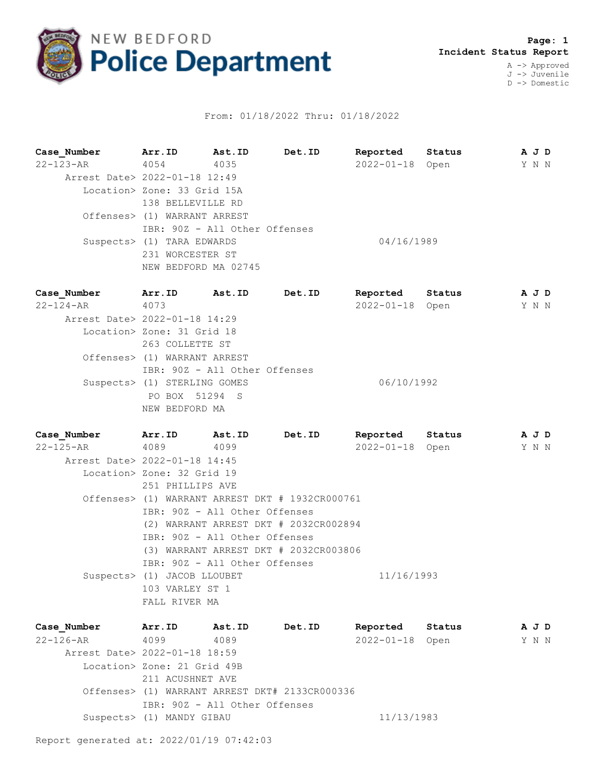

## From: 01/18/2022 Thru: 01/18/2022

**Case\_Number Arr.ID Ast.ID Det.ID Reported Status A J D** 22-123-AR 4054 4035 2022-01-18 Open Y N N Arrest Date> 2022-01-18 12:49 Location> Zone: 33 Grid 15A 138 BELLEVILLE RD Offenses> (1) WARRANT ARREST IBR: 90Z - All Other Offenses Suspects> (1) TARA EDWARDS 04/16/1989 231 WORCESTER ST NEW BEDFORD MA 02745

| Case Number                   | Arr.ID                        | Ast.ID | Det.ID | Reported         | Status | A J D |  |
|-------------------------------|-------------------------------|--------|--------|------------------|--------|-------|--|
| $22 - 124 - AR$               | 4073                          |        |        | $2022 - 01 - 18$ | Open   | Y N N |  |
| Arrest Date> 2022-01-18 14:29 |                               |        |        |                  |        |       |  |
|                               | Location> Zone: 31 Grid 18    |        |        |                  |        |       |  |
|                               | 263 COLLETTE ST               |        |        |                  |        |       |  |
|                               | Offenses> (1) WARRANT ARREST  |        |        |                  |        |       |  |
|                               | IBR: 90Z - All Other Offenses |        |        |                  |        |       |  |
|                               | Suspects> (1) STERLING GOMES  |        |        | 06/10/1992       |        |       |  |
|                               | PO BOX 51294 S                |        |        |                  |        |       |  |
|                               | NEW BEDFORD MA                |        |        |                  |        |       |  |

| Case Number                   | Arr.ID                                          | Ast.ID                        | Det.ID                                | Reported        | Status | AJD |  |
|-------------------------------|-------------------------------------------------|-------------------------------|---------------------------------------|-----------------|--------|-----|--|
| 22-125-AR                     | 4089                                            | 4099                          |                                       | 2022-01-18 Open |        | YNN |  |
| Arrest Date> 2022-01-18 14:45 |                                                 |                               |                                       |                 |        |     |  |
|                               | Location> Zone: 32 Grid 19                      |                               |                                       |                 |        |     |  |
|                               | 251 PHILLIPS AVE                                |                               |                                       |                 |        |     |  |
|                               | Offenses> (1) WARRANT ARREST DKT # 1932CR000761 |                               |                                       |                 |        |     |  |
|                               |                                                 | IBR: 90Z - All Other Offenses |                                       |                 |        |     |  |
|                               |                                                 |                               | (2) WARRANT ARREST DKT # 2032CR002894 |                 |        |     |  |
|                               |                                                 | IBR: 90Z - All Other Offenses |                                       |                 |        |     |  |
|                               |                                                 |                               | (3) WARRANT ARREST DKT # 2032CR003806 |                 |        |     |  |
|                               |                                                 | IBR: 90Z - All Other Offenses |                                       |                 |        |     |  |
|                               | Suspects> (1) JACOB LLOUBET                     |                               |                                       | 11/16/1993      |        |     |  |
|                               | 103 VARLEY ST 1                                 |                               |                                       |                 |        |     |  |
|                               | FALL RIVER MA                                   |                               |                                       |                 |        |     |  |

**Case\_Number Arr.ID Ast.ID Det.ID Reported Status A J D** 22-126-AR 4099 4089 2022-01-18 Open Y N N Arrest Date> 2022-01-18 18:59 Location> Zone: 21 Grid 49B 211 ACUSHNET AVE Offenses> (1) WARRANT ARREST DKT# 2133CR000336 IBR: 90Z - All Other Offenses Suspects> (1) MANDY GIBAU 11/13/1983